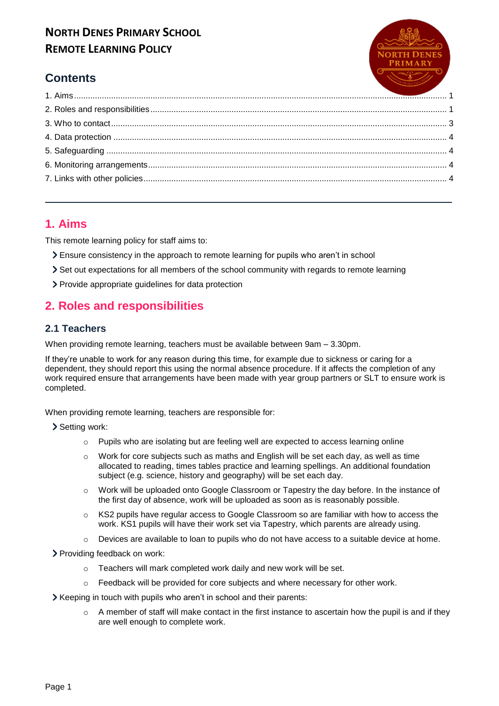

# **Contents**

## <span id="page-0-0"></span>1. Aims

This remote learning policy for staff aims to:

- > Ensure consistency in the approach to remote learning for pupils who aren't in school
- Set out expectations for all members of the school community with regards to remote learning
- > Provide appropriate guidelines for data protection

# <span id="page-0-1"></span>2. Roles and responsibilities

#### 2.1 Teachers

When providing remote learning, teachers must be available between 9am - 3.30pm.

If they're unable to work for any reason during this time, for example due to sickness or caring for a dependent, they should report this using the normal absence procedure. If it affects the completion of any work required ensure that arrangements have been made with year group partners or SLT to ensure work is completed.

When providing remote learning, teachers are responsible for:

> Setting work:

- Pupils who are isolating but are feeling well are expected to access learning online  $\circ$
- Work for core subjects such as maths and English will be set each day, as well as time  $\circ$ allocated to reading, times tables practice and learning spellings. An additional foundation subject (e.g. science, history and geography) will be set each day.
- Work will be uploaded onto Google Classroom or Tapestry the day before. In the instance of  $\Omega$ the first day of absence, work will be uploaded as soon as is reasonably possible.
- KS2 pupils have regular access to Google Classroom so are familiar with how to access the  $\circ$ work. KS1 pupils will have their work set via Tapestry, which parents are already using.
- Devices are available to loan to pupils who do not have access to a suitable device at home.  $\circ$

> Providing feedback on work:

- Teachers will mark completed work daily and new work will be set.  $\circ$
- Feedback will be provided for core subjects and where necessary for other work.  $\circ$
- > Keeping in touch with pupils who aren't in school and their parents:
	- A member of staff will make contact in the first instance to ascertain how the pupil is and if they  $\circ$ are well enough to complete work.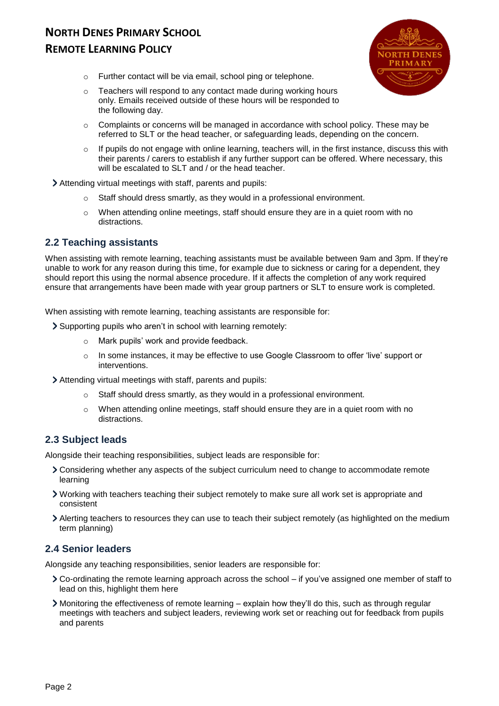

- o Further contact will be via email, school ping or telephone.
- o Teachers will respond to any contact made during working hours only. Emails received outside of these hours will be responded to the following day.
- $\circ$  Complaints or concerns will be managed in accordance with school policy. These may be referred to SLT or the head teacher, or safeguarding leads, depending on the concern.
- $\circ$  If pupils do not engage with online learning, teachers will, in the first instance, discuss this with their parents / carers to establish if any further support can be offered. Where necessary, this will be escalated to SLT and / or the head teacher.
- Attending virtual meetings with staff, parents and pupils:
	- o Staff should dress smartly, as they would in a professional environment.
	- $\circ$  When attending online meetings, staff should ensure they are in a quiet room with no distractions.

#### **2.2 Teaching assistants**

When assisting with remote learning, teaching assistants must be available between 9am and 3pm. If they're unable to work for any reason during this time, for example due to sickness or caring for a dependent, they should report this using the normal absence procedure. If it affects the completion of any work required ensure that arrangements have been made with year group partners or SLT to ensure work is completed.

When assisting with remote learning, teaching assistants are responsible for:

- Supporting pupils who aren't in school with learning remotely:
	- o Mark pupils' work and provide feedback.
	- o In some instances, it may be effective to use Google Classroom to offer 'live' support or interventions.
- Attending virtual meetings with staff, parents and pupils:
	- o Staff should dress smartly, as they would in a professional environment.
	- $\circ$  When attending online meetings, staff should ensure they are in a quiet room with no distractions.

#### **2.3 Subject leads**

Alongside their teaching responsibilities, subject leads are responsible for:

- Considering whether any aspects of the subject curriculum need to change to accommodate remote learning
- Working with teachers teaching their subject remotely to make sure all work set is appropriate and consistent
- Alerting teachers to resources they can use to teach their subject remotely (as highlighted on the medium term planning)

#### **2.4 Senior leaders**

Alongside any teaching responsibilities, senior leaders are responsible for:

- Co-ordinating the remote learning approach across the school if you've assigned one member of staff to lead on this, highlight them here
- Monitoring the effectiveness of remote learning explain how they'll do this, such as through regular meetings with teachers and subject leaders, reviewing work set or reaching out for feedback from pupils and parents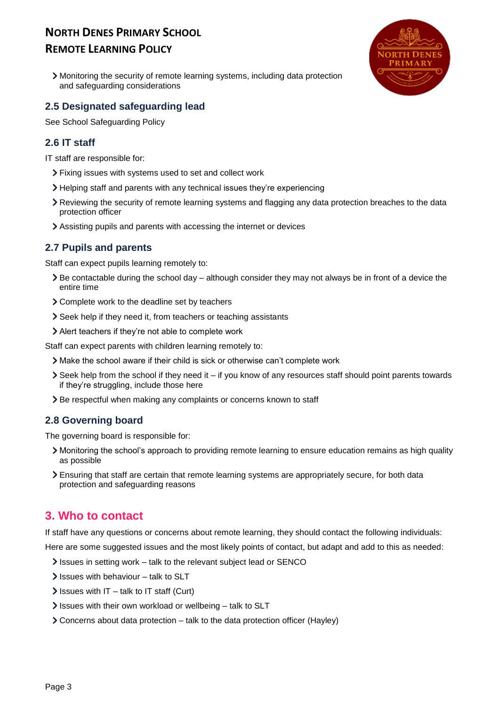# **NORTH DENES PRIMARY SCHOOL**

# **REMOTE LEARNING POLICY**

Monitoring the security of remote learning systems, including data protection and safeguarding considerations

#### **2.5 Designated safeguarding lead**

See School Safeguarding Policy

#### **2.6 IT staff**

IT staff are responsible for:

- Fixing issues with systems used to set and collect work
- Helping staff and parents with any technical issues they're experiencing
- Reviewing the security of remote learning systems and flagging any data protection breaches to the data protection officer
- Assisting pupils and parents with accessing the internet or devices

#### **2.7 Pupils and parents**

Staff can expect pupils learning remotely to:

- $\geq$  Be contactable during the school day although consider they may not always be in front of a device the entire time
- Complete work to the deadline set by teachers
- Seek help if they need it, from teachers or teaching assistants
- Alert teachers if they're not able to complete work

Staff can expect parents with children learning remotely to:

- Make the school aware if their child is sick or otherwise can't complete work
- $\triangleright$  Seek help from the school if they need it if you know of any resources staff should point parents towards if they're struggling, include those here
- > Be respectful when making any complaints or concerns known to staff

#### **2.8 Governing board**

The governing board is responsible for:

- Monitoring the school's approach to providing remote learning to ensure education remains as high quality as possible
- Ensuring that staff are certain that remote learning systems are appropriately secure, for both data protection and safeguarding reasons

# <span id="page-2-0"></span>**3. Who to contact**

If staff have any questions or concerns about remote learning, they should contact the following individuals:

Here are some suggested issues and the most likely points of contact, but adapt and add to this as needed:

- Issues in setting work talk to the relevant subject lead or SENCO
- $\ge$  Issues with behaviour talk to SLT
- $\ge$  Issues with IT talk to IT staff (Curt)
- $\ge$  Issues with their own workload or wellbeing talk to SLT
- Concerns about data protection talk to the data protection officer (Hayley)

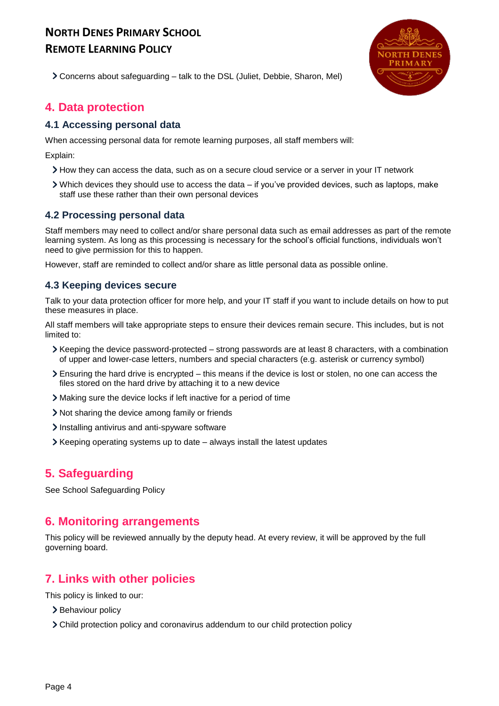

Concerns about safeguarding – talk to the DSL (Juliet, Debbie, Sharon, Mel)

## <span id="page-3-0"></span>**4. Data protection**

#### **4.1 Accessing personal data**

When accessing personal data for remote learning purposes, all staff members will:

Explain:

- How they can access the data, such as on a secure cloud service or a server in your IT network
- Which devices they should use to access the data if you've provided devices, such as laptops, make staff use these rather than their own personal devices

#### **4.2 Processing personal data**

Staff members may need to collect and/or share personal data such as email addresses as part of the remote learning system. As long as this processing is necessary for the school's official functions, individuals won't need to give permission for this to happen.

However, staff are reminded to collect and/or share as little personal data as possible online.

#### **4.3 Keeping devices secure**

Talk to your data protection officer for more help, and your IT staff if you want to include details on how to put these measures in place.

All staff members will take appropriate steps to ensure their devices remain secure. This includes, but is not limited to:

- Keeping the device password-protected strong passwords are at least 8 characters, with a combination of upper and lower-case letters, numbers and special characters (e.g. asterisk or currency symbol)
- Ensuring the hard drive is encrypted this means if the device is lost or stolen, no one can access the files stored on the hard drive by attaching it to a new device
- Making sure the device locks if left inactive for a period of time
- Not sharing the device among family or friends
- Installing antivirus and anti-spyware software
- Keeping operating systems up to date always install the latest updates

# <span id="page-3-1"></span>**5. Safeguarding**

See School Safeguarding Policy

### <span id="page-3-2"></span>**6. Monitoring arrangements**

This policy will be reviewed annually by the deputy head. At every review, it will be approved by the full governing board.

# <span id="page-3-3"></span>**7. Links with other policies**

This policy is linked to our:

- > Behaviour policy
- Child protection policy and coronavirus addendum to our child protection policy